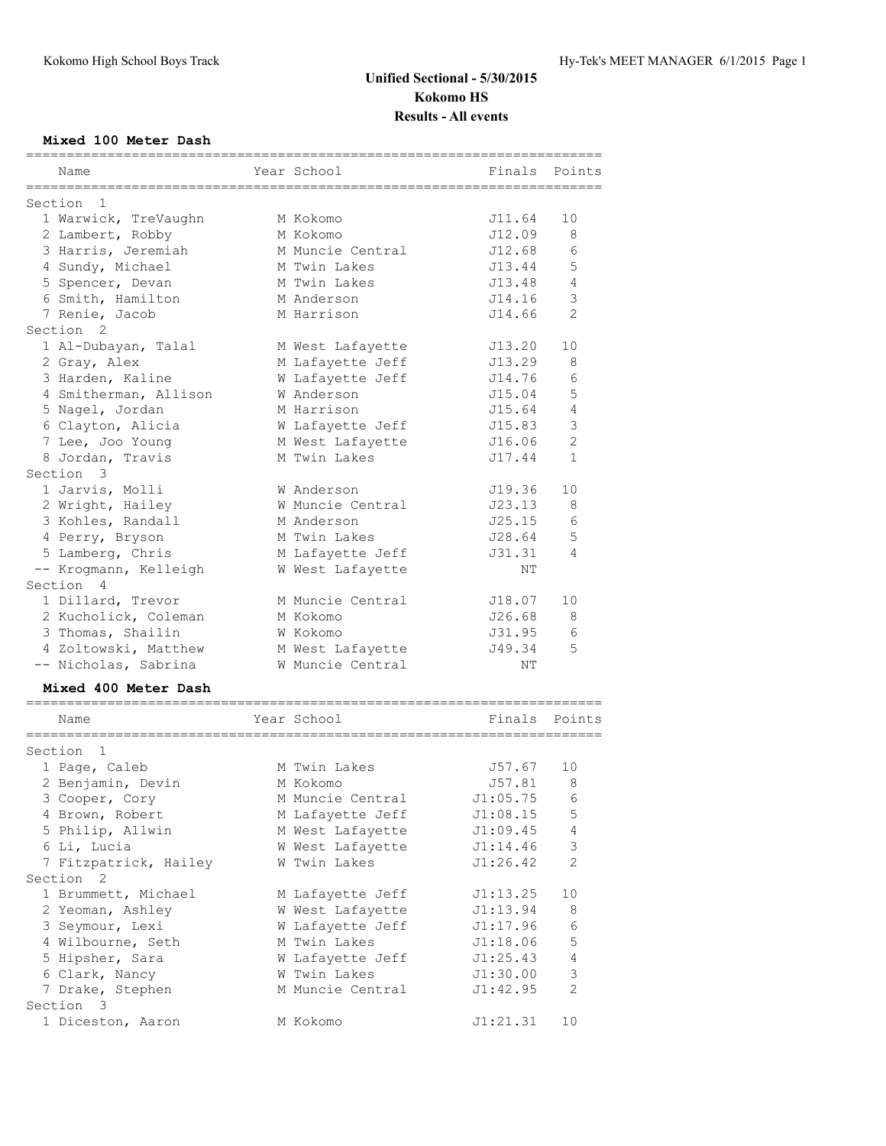## **Unified Sectional - 5/30/2015 Kokomo HS Results - All events**

#### **Mixed 100 Meter Dash**

| Name                                                     | Year School                        | Finals Points |                |
|----------------------------------------------------------|------------------------------------|---------------|----------------|
| ==============<br>======================<br>Section<br>1 | ================================== |               |                |
| 1 Warwick, TreVaughn                                     | M Kokomo                           | J11.64        | 10             |
| 2 Lambert, Robby                                         | M Kokomo                           | J12.09        | 8              |
| 3 Harris, Jeremiah                                       | M Muncie Central                   | J12.68        | 6              |
| 4 Sundy, Michael                                         | M Twin Lakes                       | J13.44        | 5              |
| 5 Spencer, Devan                                         | M Twin Lakes                       | J13.48        | 4              |
|                                                          | M Anderson                         | J14.16        | 3              |
| 6 Smith, Hamilton<br>7 Renie, Jacob                      | M Harrison                         | J14.66        | $\mathfrak{D}$ |
| Section <sub>2</sub>                                     |                                    |               |                |
| 1 Al-Dubayan, Talal                                      | M West Lafayette                   | J13.20        | 10             |
| 2 Gray, Alex                                             | M Lafayette Jeff                   | J13.29        | 8              |
| 3 Harden, Kaline                                         | W Lafayette Jeff                   | J14.76        | 6              |
|                                                          | W Anderson                         | J15.04        | 5              |
| 4 Smitherman, Allison                                    | M Harrison                         |               | $\overline{4}$ |
| 5 Nagel, Jordan                                          |                                    | J15.64        | $\mathcal{E}$  |
| 6 Clayton, Alicia                                        | W Lafayette Jeff                   | J15.83        | 2              |
| 7 Lee, Joo Young                                         | M West Lafayette                   | J16.06        |                |
| 8 Jordan, Travis<br>Section 3                            | M Twin Lakes                       | J17.44        | $\mathbf 1$    |
|                                                          |                                    |               |                |
| 1 Jarvis, Molli                                          | W Anderson                         | J19.36        | 10             |
| 2 Wright, Hailey                                         | W Muncie Central                   | J23.13        | 8              |
| 3 Kohles, Randall                                        | M Anderson                         | J25.15        | 6              |
| 4 Perry, Bryson                                          | M Twin Lakes                       | J28.64        | 5              |
| 5 Lamberg, Chris                                         | M Lafayette Jeff                   | J31.31        | 4              |
| -- Krogmann, Kelleigh                                    | W West Lafayette                   | ΝT            |                |
| Section 4                                                |                                    |               |                |
| 1 Dillard, Trevor                                        | M Muncie Central                   | J18.07        | 10             |
| 2 Kucholick, Coleman                                     | M Kokomo                           | J26.68        | 8              |
| 3 Thomas, Shailin                                        | W Kokomo                           | J31.95        | 6              |
| 4 Zoltowski, Matthew                                     | M West Lafayette                   | J49.34        | 5              |
| -- Nicholas, Sabrina                                     | W Muncie Central                   | ΝT            |                |
| Mixed 400 Meter Dash                                     |                                    |               |                |
| Name                                                     | Year School                        | Finals Points |                |
|                                                          |                                    |               |                |
| Section 1                                                |                                    |               |                |
| 1 Page, Caleb                                            | M Twin Lakes                       | J57.67        | 10             |
| 2 Benjamin, Devin                                        | M Kokomo                           | J57.81        | - 8            |
| 3 Cooper, Cory                                           | M Muncie Central                   | J1:05.75      | 6              |
| 4 Brown, Robert                                          | M Lafayette Jeff                   | J1:08.15      | 5              |
| 5 Philip, Allwin                                         | M West Lafayette                   | J1:09.45      | 4              |
| 6 Li, Lucia                                              | W West Lafayette                   | J1:14.46      | 3              |
| 7 Fitzpatrick, Hailey                                    | W Twin Lakes                       | J1:26.42      | 2              |
| Section <sub>2</sub>                                     |                                    |               |                |
| 1 Brummett, Michael                                      | M Lafayette Jeff                   | J1:13.25      | 10             |
| 2 Yeoman, Ashley                                         | W West Lafayette                   | J1:13.94      | 8              |
| 3 Seymour, Lexi                                          | W Lafayette Jeff                   | J1:17.96      | 6              |
| 4 Wilbourne, Seth                                        | M Twin Lakes                       | J1:18.06      | 5              |
| 5 Hipsher, Sara                                          | W Lafayette Jeff                   | J1:25.43      | 4              |
| 6 Clark, Nancy                                           | W Twin Lakes                       | J1:30.00      | $\mathsf 3$    |
| 7 Drake, Stephen                                         | M Muncie Central                   | J1:42.95      | $\mathbf{2}$   |
| Section 3                                                |                                    |               |                |
| 1 Diceston, Aaron                                        | M Kokomo                           | J1:21.31      | 10             |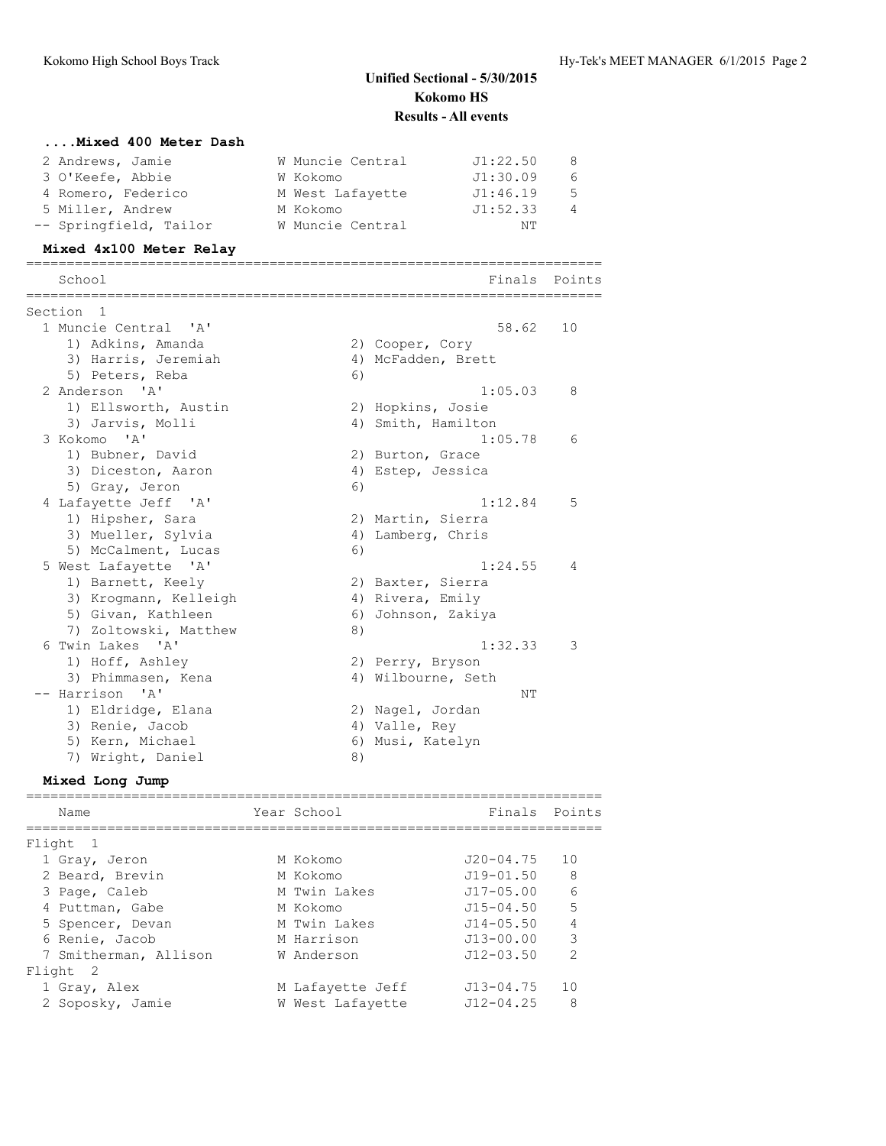# **Unified Sectional - 5/30/2015 Kokomo HS Results - All events**

### **....Mixed 400 Meter Dash**

| 2 Andrews, Jamie       | W Muncie Central | J1:22.50 | -8             |
|------------------------|------------------|----------|----------------|
| 3 O'Keefe, Abbie       | W Kokomo         | J1:30.09 | 6              |
| 4 Romero, Federico     | M West Lafayette | J1:46.19 | 5              |
| 5 Miller, Andrew       | M Kokomo         | J1:52.33 | $\overline{4}$ |
| -- Springfield, Tailor | W Muncie Central | NΤ       |                |

### **Mixed 4x100 Meter Relay**

| -------------------------                |    | ============================== |        |
|------------------------------------------|----|--------------------------------|--------|
| School                                   |    | Finals                         | Points |
| Section 1                                |    |                                |        |
| 1 Muncie Central<br>$\mathsf{A}$         |    | 58.62                          | 10     |
| 1) Adkins, Amanda                        |    | 2) Cooper, Cory                |        |
| 3) Harris, Jeremiah                      |    | 4) McFadden, Brett             |        |
| 5) Peters, Reba                          | 6) |                                |        |
| 2 Anderson<br>$^{\prime}$ A $^{\prime}$  |    | 1:05.03                        | 8      |
| 1) Ellsworth, Austin                     |    | 2) Hopkins, Josie              |        |
| 3) Jarvis, Molli                         |    | 4) Smith, Hamilton             |        |
| 3 Kokomo<br>$^{\prime}$ A $^{\prime}$    |    | 1:05.78                        | 6      |
| 1) Bubner, David                         |    | 2) Burton, Grace               |        |
| 3) Diceston, Aaron                       |    | 4) Estep, Jessica              |        |
| 5) Gray, Jeron                           | 6) |                                |        |
| 4 Lafayette Jeff 'A'                     |    | 1:12.84                        | .5     |
| 1) Hipsher, Sara                         |    | 2) Martin, Sierra              |        |
| 3) Mueller, Sylvia                       |    | 4) Lamberg, Chris              |        |
| 5) McCalment, Lucas                      | 6) |                                |        |
| 5 West Lafayette 'A'                     |    | 1:24.55                        | 4      |
| 1) Barnett, Keely                        |    | 2) Baxter, Sierra              |        |
| 3) Kroqmann, Kelleigh                    |    | 4) Rivera, Emily               |        |
| 5) Givan, Kathleen                       |    | 6) Johnson, Zakiya             |        |
| 7) Zoltowski, Matthew                    | 8) |                                |        |
| 6 Twin Lakes 'A'                         |    | 1:32.33                        | 3      |
| 1) Hoff, Ashley                          |    | 2) Perry, Bryson               |        |
| 3) Phimmasen, Kena                       |    | 4) Wilbourne, Seth             |        |
| -- Harrison<br>$^{\prime}$ A $^{\prime}$ |    | NΤ                             |        |
| 1) Eldridge, Elana                       |    | 2) Nagel, Jordan               |        |
| 3) Renie, Jacob                          |    | 4) Valle, Rey                  |        |
| 5) Kern, Michael                         |    | 6) Musi, Katelyn               |        |
| 7) Wright, Daniel                        | 8) |                                |        |

### **Mixed Long Jump**

| Name                     | Year School      | Finals Points |                |
|--------------------------|------------------|---------------|----------------|
| Flight 1                 |                  |               |                |
| 1 Gray, Jeron            | M Kokomo         | J20-04.75     | 10             |
| 2 Beard, Brevin          | M Kokomo         | $J19 - 01.50$ | 8              |
| 3 Page, Caleb            | M Twin Lakes     | $J17 - 05.00$ | 6              |
| 4 Puttman, Gabe          | M Kokomo         | $J15 - 04.50$ | 5              |
| 5 Spencer, Devan         | M Twin Lakes     | $J14 - 05.50$ | $\overline{4}$ |
| 6 Renie, Jacob           | M Harrison       | $J13 - 00.00$ | 3              |
| 7 Smitherman, Allison    | W Anderson       | $J12 - 03.50$ | $\mathcal{P}$  |
| Flight<br>$\overline{2}$ |                  |               |                |
| 1 Gray, Alex             | M Lafayette Jeff | $J13 - 04.75$ | 10             |
| 2 Soposky, Jamie         | W West Lafayette | $J12 - 04.25$ | 8              |
|                          |                  |               |                |